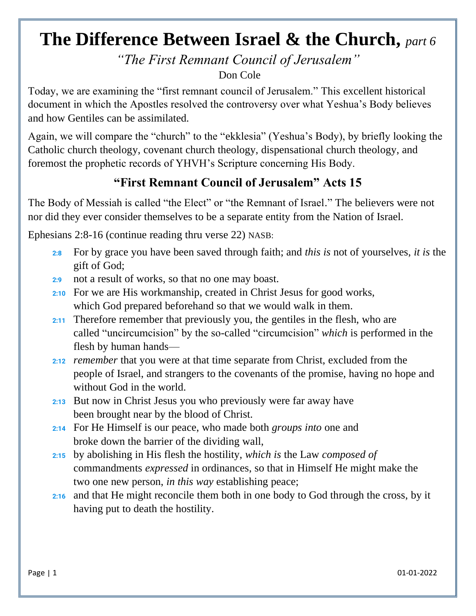## **The Difference Between Israel & the Church,** *part 6*

*"The First Remnant Council of Jerusalem"*

Don Cole

Today, we are examining the "first remnant council of Jerusalem." This excellent historical document in which the Apostles resolved the controversy over what Yeshua's Body believes and how Gentiles can be assimilated.

Again, we will compare the "church" to the "ekklesia" (Yeshua's Body), by briefly looking the Catholic church theology, covenant church theology, dispensational church theology, and foremost the prophetic records of YHVH's Scripture concerning His Body.

## **"First Remnant Council of Jerusalem" Acts 15**

The Body of Messiah is called "the Elect" or "the Remnant of Israel." The believers were not nor did they ever consider themselves to be a separate entity from the Nation of Israel.

Ephesians 2:8-16 (continue reading thru verse 22) NASB:

- **2:8** For by grace you have been saved through faith; and *this is* not of yourselves, *it is* the gift of God;
- **2[:9](https://biblehub.com/ephesians/2-9.htm)** not a result of works, so that no one may boast.
- **2[:10](https://biblehub.com/ephesians/2-10.htm)** For we are His workmanship, created in Christ Jesus for good works, which God prepared beforehand so that we would walk in them.
- **2[:11](https://biblehub.com/ephesians/2-11.htm)** Therefore remember that previously you, the gentiles in the flesh, who are called "uncircumcision" by the so-called "circumcision" *which* is performed in the flesh by human hands—
- **2[:12](https://biblehub.com/ephesians/2-12.htm)** *remember* that you were at that time separate from Christ, excluded from the people of Israel, and strangers to the covenants of the promise, having no hope and without God in the world.
- **2[:13](https://biblehub.com/ephesians/2-13.htm)** But now in Christ Jesus you who previously were far away have been brought near by the blood of Christ.
- **2[:14](https://biblehub.com/ephesians/2-14.htm)** For He Himself is our peace, who made both *groups into* one and broke down the barrier of the dividing wall,
- **2[:15](https://biblehub.com/ephesians/2-15.htm)** by abolishing in His flesh the hostility, *which is* the Law *composed of* commandments *expressed* in ordinances, so that in Himself He might make the two one new person, *in this way* establishing peace;
- **2[:16](https://biblehub.com/ephesians/2-16.htm)** and that He might reconcile them both in one body to God through the cross, by it having put to death the hostility.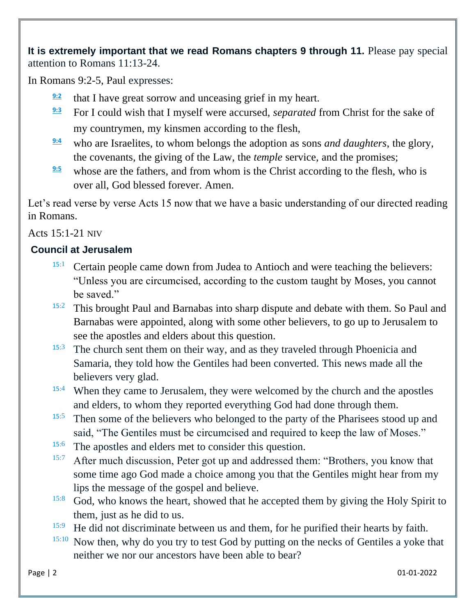**It is extremely important that we read Romans chapters 9 through 11.** Please pay special attention to Romans 11:13-24.

In Romans 9:2-5, Paul expresses:

- **[9:2](https://biblehub.com/romans/9-2.htm)** that I have great sorrow and unceasing grief in my heart.
- **[9:3](https://biblehub.com/romans/9-3.htm)** For I could wish that I myself were accursed, *separated* from Christ for the sake of my countrymen, my kinsmen according to the flesh,
- **[9:4](https://biblehub.com/romans/9-4.htm)** who are Israelites, to whom belongs the adoption as sons *and daughters*, the glory, the covenants, the giving of the Law, the *temple* service, and the promises;
- **[9:5](https://biblehub.com/romans/9-5.htm)** whose are the fathers, and from whom is the Christ according to the flesh, who is over all, God blessed forever. Amen.

Let's read verse by verse Acts 15 now that we have a basic understanding of our directed reading in Romans.

Acts 15:1-21 NIV

## **Council at Jerusalem**

- <sup>[1](http://biblehub.com/acts/15-1.htm)5:1</sup> Certain people came down from Judea to Antioch and were teaching the believers: "Unless you are circumcised, according to the custom taught by Moses, you cannot be saved."
- 15:[2](http://biblehub.com/acts/15-2.htm) This brought Paul and Barnabas into sharp dispute and debate with them. So Paul and Barnabas were appointed, along with some other believers, to go up to Jerusalem to see the apostles and elders about this question.
- <sup>15:[3](http://biblehub.com/acts/15-3.htm)</sup> The church sent them on their way, and as they traveled through Phoenicia and Samaria, they told how the Gentiles had been converted. This news made all the believers very glad.
- <sup>15:[4](http://biblehub.com/acts/15-4.htm)</sup> When they came to Jerusalem, they were welcomed by the church and the apostles and elders, to whom they reported everything God had done through them.
- <sup>1[5](http://biblehub.com/acts/15-5.htm):5</sup> Then some of the believers who belonged to the party of the Pharisees stood up and said, "The Gentiles must be circumcised and required to keep the law of Moses."
- <sup>15:[6](http://biblehub.com/acts/15-6.htm)</sup> The apostles and elders met to consider this question.
- $15:7$  $15:7$  After much discussion, Peter got up and addressed them: "Brothers, you know that some time ago God made a choice among you that the Gentiles might hear from my lips the message of the gospel and believe.
- <sup>15[:8](http://biblehub.com/acts/15-8.htm)</sup> God, who knows the heart, showed that he accepted them by giving the Holy Spirit to them, just as he did to us.
- <sup>15[:9](http://biblehub.com/acts/15-9.htm)</sup> He did not discriminate between us and them, for he purified their hearts by faith.
- <sup>15[:10](http://biblehub.com/acts/15-10.htm)</sup> Now then, why do you try to test God by putting on the necks of Gentiles a yoke that neither we nor our ancestors have been able to bear?